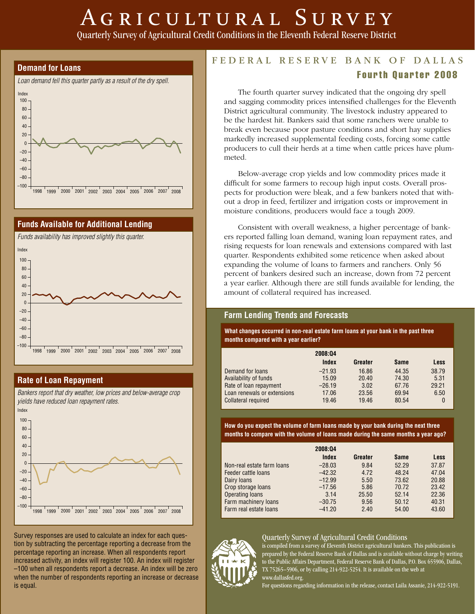# AGRICULTURAL SURVEY

Quarterly Survey of Agricultural Credit Conditions in the Eleventh Federal Reserve District





# **Rate of Loan Repayment**

*Bankers report that dry weather, low prices and below-average crop yields have reduced loan repayment rates.* 



Survey responses are used to calculate an index for each question by subtracting the percentage reporting a decrease from the percentage reporting an increase. When all respondents report increased activity, an index will register 100. An index will register –100 when all respondents report a decrease. An index will be zero when the number of respondents reporting an increase or decrease is equal.

# FEDERAL RESERVE BANK OF DALLAS Fourth Quarter 2008

The fourth quarter survey indicated that the ongoing dry spell and sagging commodity prices intensified challenges for the Eleventh District agricultural community. The livestock industry appeared to be the hardest hit. Bankers said that some ranchers were unable to break even because poor pasture conditions and short hay supplies markedly increased supplemental feeding costs, forcing some cattle producers to cull their herds at a time when cattle prices have plummeted.

Below-average crop yields and low commodity prices made it difficult for some farmers to recoup high input costs. Overall prospects for production were bleak, and a few bankers noted that without a drop in feed, fertilizer and irrigation costs or improvement in moisture conditions, producers would face a tough 2009.

Consistent with overall weakness, a higher percentage of bankers reported falling loan demand, waning loan repayment rates, and rising requests for loan renewals and extensions compared with last quarter. Respondents exhibited some reticence when asked about expanding the volume of loans to farmers and ranchers. Only 56 percent of bankers desired such an increase, down from 72 percent a year earlier. Although there are still funds available for lending, the amount of collateral required has increased.

# **Farm Lending Trends and Forecasts**

**What changes occurred in non-real estate farm loans at your bank in the past three months compared with a year earlier?**

|                             | 2008:04  |         |             |             |
|-----------------------------|----------|---------|-------------|-------------|
|                             | Index    | Greater | <b>Same</b> | <b>Less</b> |
| Demand for loans            | $-21.93$ | 16.86   | 44.35       | 38.79       |
| Availability of funds       | 15.09    | 20.40   | 74.30       | 5.31        |
| Rate of loan repayment      | $-26.19$ | 3.02    | 67.76       | 29.21       |
| Loan renewals or extensions | 17.06    | 23.56   | 69.94       | 6.50        |
| <b>Collateral required</b>  | 19.46    | 19.46   | 80.54       | $\theta$    |

**How do you expect the volume of farm loans made by your bank during the next three months to compare with the volume of loans made during the same months a year ago?**

|                            | 2008:04  |         |             |             |
|----------------------------|----------|---------|-------------|-------------|
|                            | Index    | Greater | <b>Same</b> | <b>Less</b> |
| Non-real estate farm loans | $-28.03$ | 9.84    | 52.29       | 37.87       |
| Feeder cattle loans        | $-42.32$ | 4.72    | 48.24       | 47.04       |
| Dairy loans                | $-12.99$ | 5.50    | 73.62       | 20.88       |
| Crop storage loans         | $-17.56$ | 5.86    | 70.72       | 23.42       |
| <b>Operating loans</b>     | 3.14     | 25.50   | 52.14       | 22.36       |
| Farm machinery loans       | $-30.75$ | 9.56    | 50.12       | 40.31       |
| Farm real estate loans     | $-41.20$ | 2.40    | 54.00       | 43.60       |

#### Quarterly Survey of Agricultural Credit Conditions



is compiled from a survey of Eleventh District agricultural bankers. This publication is prepared by the Federal Reserve Bank of Dallas and is available without charge by writing to the Public Affairs Department, Federal Reserve Bank of Dallas, P.O. Box 655906, Dallas, TX 75265–5906, or by calling 214-922-5254. It is available on the web at www.dallasfed.org.

For questions regarding information in the release, contact Laila Assanie, 214-922-5191.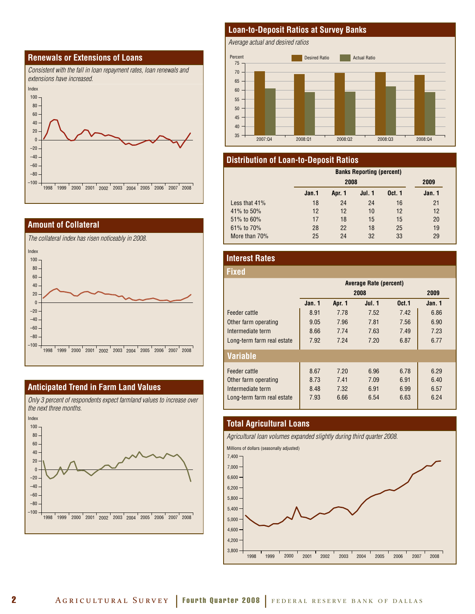### **Renewals or Extensions of Loans**



#### **Amount of Collateral**

*The collateral index has risen noticeably in 2008.*  Index –100 –80 –60  $-40.$ –20 0 20 40 60 80 100 1998 1999 2000 2001 2002 2003 2004 2005 2006 2007 2008

#### **Anticipated Trend in Farm Land Values**

*Only 3 percent of respondents expect farmland values to increase over the next three months.* Index 100



#### **Loan-to-Deposit Ratios at Survey Banks**

*Average actual and desired ratios*



#### **Distribution of Loan-to-Deposit Ratios**

|                 |       | <b>Banks Reporting (percent)</b> |               |               |        |  |
|-----------------|-------|----------------------------------|---------------|---------------|--------|--|
|                 |       | 2008                             |               |               |        |  |
|                 | Jan.1 | Apr. 1                           | <b>Jul. 1</b> | <b>Oct. 1</b> | Jan. 1 |  |
| Less that $41%$ | 18    | 24                               | 24            | 16            | 21     |  |
| 41% to 50%      | 12    | 12                               | 10            | 12            | 12     |  |
| $51\%$ to 60%   | 17    | 18                               | 15            | 15            | 20     |  |
| 61% to 70%      | 28    | 22                               | 18            | 25            | 19     |  |
| More than 70%   | 25    | 24                               | 32            | 33            | 29     |  |

### **Interest Rates**

| Fixed                      |                               |        |        |                   |        |  |  |
|----------------------------|-------------------------------|--------|--------|-------------------|--------|--|--|
|                            | <b>Average Rate (percent)</b> |        |        |                   |        |  |  |
|                            | 2008<br>2009                  |        |        |                   |        |  |  |
|                            | Jan. 1                        | Apr. 1 | Jul. 1 | 0 <sub>ct.1</sub> | Jan. 1 |  |  |
| Feeder cattle              | 8.91                          | 7.78   | 7.52   | 7.42              | 6.86   |  |  |
| Other farm operating       | 9.05                          | 7.96   | 7.81   | 7.56              | 6.90   |  |  |
| Intermediate term          | 8.66                          | 7.74   | 7.63   | 7.49              | 7.23   |  |  |
| Long-term farm real estate | 7.92                          | 7.24   | 7.20   | 6.87              | 6.77   |  |  |
| <b>Variable</b>            |                               |        |        |                   |        |  |  |
| Feeder cattle              | 8.67                          | 7.20   | 6.96   | 6.78              | 6.29   |  |  |
| Other farm operating       | 8.73                          | 7.41   | 7.09   | 6.91              | 6.40   |  |  |
| Intermediate term          | 8.48                          | 7.32   | 6.91   | 6.99              | 6.57   |  |  |
| Long-term farm real estate | 7.93                          | 6.66   | 6.54   | 6.63              | 6.24   |  |  |

#### **Total Agricultural Loans**



Millions of dollars (seasonally adjusted)

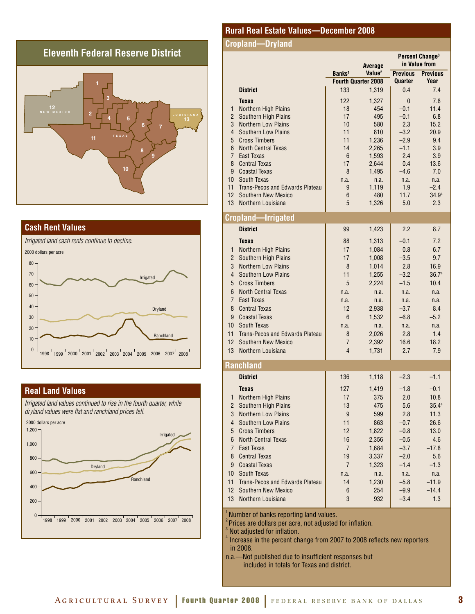# **Eleventh Federal Reserve District**





#### **Real Land Values**

*Irrigated land values continued to rise in the fourth quarter, while dryland values were flat and ranchland prices fell.* 



#### **Rural Real Estate Values—December 2008**

#### **Cropland—Dryland**

|                |                                        | Average            |                            | Percent Change <sup>3</sup><br>in Value from |                 |
|----------------|----------------------------------------|--------------------|----------------------------|----------------------------------------------|-----------------|
|                |                                        | Banks <sup>1</sup> | Value <sup>2</sup>         | <b>Previous</b>                              | <b>Previous</b> |
|                |                                        |                    | <b>Fourth Quarter 2008</b> | Quarter                                      | Year            |
|                | <b>District</b>                        | 133                | 1,319                      | 0.4                                          | 7.4             |
|                | <b>Texas</b>                           | 122                | 1,327                      | $\mathbf{0}$                                 | 7.8             |
| 1              | <b>Northern High Plains</b>            | 18                 | 454                        | $-0.1$                                       | 11.4            |
| $\overline{2}$ | Southern High Plains                   | 17                 | 495                        | $-0.1$                                       | 6.8             |
| 3              | <b>Northern Low Plains</b>             | 10                 | 580                        | 2.3                                          | 15.2            |
| $\overline{4}$ | <b>Southern Low Plains</b>             | 11                 | 810                        | $-3.2$                                       | 20.9            |
| 5              | <b>Cross Timbers</b>                   | 11                 | 1,236                      | $-2.9$                                       | 9.4             |
| 6              | <b>North Central Texas</b>             | 14                 | 2,265                      | $-1.1$                                       | 3.9             |
| $\overline{7}$ | East Texas<br><b>Central Texas</b>     | 6                  | 1,593                      | 2.4                                          | 3.9             |
| 8<br>9         | <b>Coastal Texas</b>                   | 17<br>8            | 2,644<br>1,495             | 0.4<br>$-4.6$                                | 13.6<br>7.0     |
| 10             | South Texas                            | n.a.               | n.a.                       | n.a.                                         | n.a.            |
| 11             | <b>Trans-Pecos and Edwards Plateau</b> | 9                  | 1,119                      | 1.9                                          | $-2.4$          |
| 12             | <b>Southern New Mexico</b>             | 6                  | 480                        | 11.7                                         | 34.94           |
| 13             | Northern Louisiana                     | 5                  | 1,326                      | 5.0                                          | 2.3             |
|                | Cropland·<br>-Irrigated                |                    |                            |                                              |                 |
|                | <b>District</b>                        | 99                 | 1,423                      | 2.2                                          | 8.7             |
|                |                                        |                    |                            |                                              |                 |
|                | <b>Texas</b>                           | 88                 | 1,313                      | $-0.1$                                       | 7.2             |
| $\mathbf{1}$   | Northern High Plains                   | 17                 | 1,084                      | 0.8                                          | 6.7             |
| $\overline{2}$ | Southern High Plains                   | 17                 | 1,008                      | $-3.5$                                       | 9.7             |
| 3              | <b>Northern Low Plains</b>             | 8                  | 1,014                      | 2.8                                          | 16.9            |
| $\overline{4}$ | <b>Southern Low Plains</b>             | 11                 | 1,255                      | $-3.2$                                       | 36.74           |
| 5              | <b>Cross Timbers</b>                   | 5                  | 2,224                      | $-1.5$                                       | 10.4            |
| 6              | <b>North Central Texas</b>             | n.a.               | n.a.                       | n.a.                                         | n.a.            |
| $\overline{7}$ | East Texas                             | n.a.               | n.a.                       | n.a.                                         | n.a.            |
| 8              | <b>Central Texas</b>                   | 12                 | 2,938                      | $-3.7$                                       | 8.4             |
| 9              | <b>Coastal Texas</b>                   | 6                  | 1,532                      | $-6.8$                                       | $-5.2$          |
| 10             | South Texas                            | n.a.               | n.a.                       | n.a.                                         | n.a.            |
| 11             | Trans-Pecos and Edwards Plateau        | 8                  | 2,026                      | 2.8                                          | 1.4             |
| 12             | Southern New Mexico                    | $\overline{7}$     | 2,392                      | 16.6                                         | 18.2            |
| 13             | Northern Louisiana                     | $\overline{4}$     | 1,731                      | 2.7                                          | 7.9             |
|                | <b>Ranchland</b>                       |                    |                            |                                              |                 |
|                | <b>District</b>                        | 136                | 1,118                      | $-2.3$                                       | $-1.1$          |
|                | <b>Texas</b>                           | 127                | 1,419                      | $-1.8$                                       | $-0.1$          |
|                | 1 Northern High Plains                 | 17                 | 375                        | 2.0                                          | 10.8            |
| 2              | Southern High Plains                   | 13                 | 475                        | 5.6                                          | 35.44           |
| 3              | <b>Northern Low Plains</b>             | 9                  | 599                        | 2.8                                          | 11.3            |
| $\overline{4}$ | <b>Southern Low Plains</b>             | 11                 | 863                        | $-0.7$                                       | 26.6            |
| 5              | <b>Cross Timbers</b>                   | 12                 | 1,822                      | $-0.8$                                       | 13.0            |
| 6              | <b>North Central Texas</b>             | 16                 | 2,356                      | $-0.5$                                       | 4.6             |
| $\overline{7}$ | East Texas                             | 7                  | 1,684                      | $-3.7$                                       | $-17.8$         |
| 8              | <b>Central Texas</b>                   | 19                 | 3,337                      | $-2.0$                                       | 5.6             |
| 9              | <b>Coastal Texas</b>                   | $\overline{7}$     | 1,323                      | $-1.4$                                       | $-1.3$          |
| 10             | South Texas                            | n.a.               | n.a.                       | n.a.                                         | n.a.            |
| 11             | <b>Trans-Pecos and Edwards Plateau</b> | 14                 | 1,230                      | $-5.8$                                       | $-11.9$         |
| 12             | Southern New Mexico                    | 6                  | 254                        | $-9.9$                                       | $-14.4$         |
| 13             | Northern Louisiana                     | 3                  | 932                        | $-3.4$                                       | 1.3             |
|                |                                        |                    |                            |                                              |                 |

Number of banks reporting land values.

Prices are dollars per acre, not adjusted for inflation.

Not adjusted for inflation.

 $<sup>4</sup>$  Increase in the percent change from 2007 to 2008 reflects new reporters</sup> in 2008.

n.a.—Not published due to insufficient responses but included in totals for Texas and district.